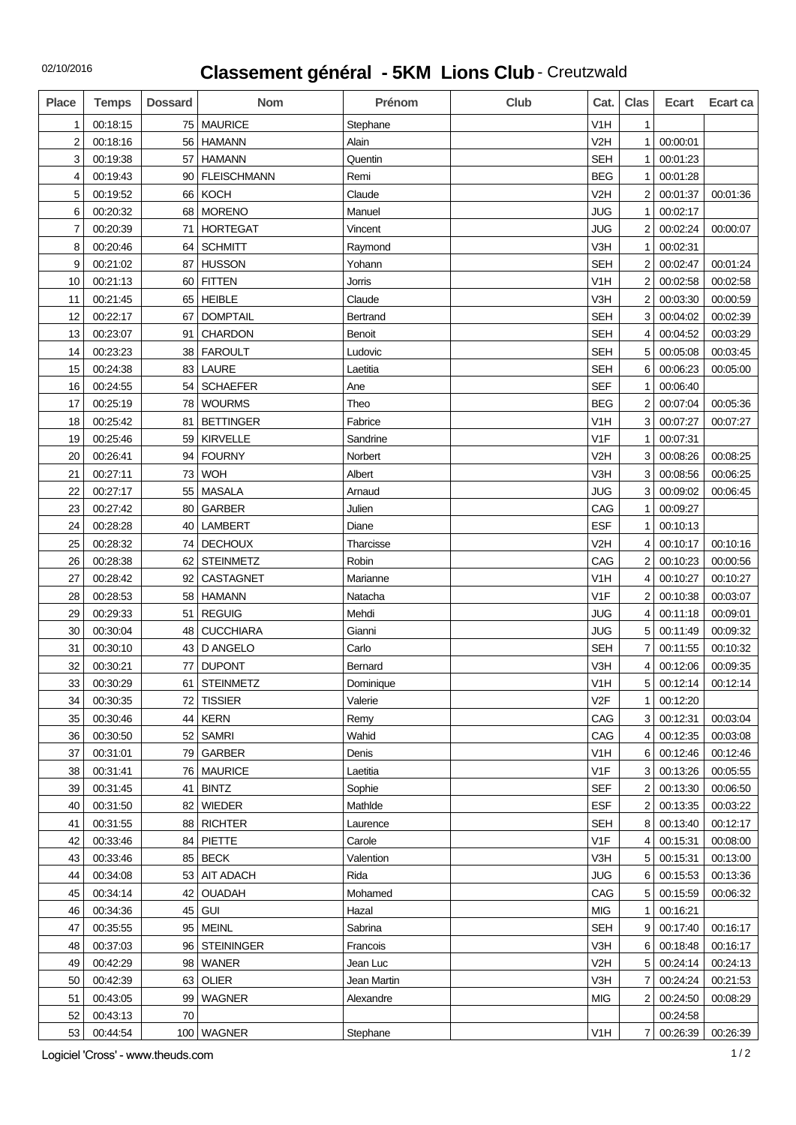## 02/10/2016

## **Classement général - 5KM Lions Club** - Creutzwald

| <b>Place</b>   | <b>Temps</b> | <b>Dossard</b> | <b>Nom</b>         | Prénom      | Club | Cat.             | Clas           | <b>Ecart</b> | Ecart ca |
|----------------|--------------|----------------|--------------------|-------------|------|------------------|----------------|--------------|----------|
| 1              | 00:18:15     | 75             | <b>MAURICE</b>     | Stephane    |      | V <sub>1</sub> H | $\mathbf{1}$   |              |          |
| 2              | 00:18:16     | 56             | <b>HAMANN</b>      | Alain       |      | V <sub>2</sub> H | $\mathbf{1}$   | 00:00:01     |          |
| 3              | 00:19:38     | 57             | <b>HAMANN</b>      | Quentin     |      | <b>SEH</b>       | $\mathbf{1}$   | 00:01:23     |          |
| 4              | 00:19:43     | 90             | <b>FLEISCHMANN</b> | Remi        |      | <b>BEG</b>       | 1              | 00:01:28     |          |
| 5              | 00:19:52     | 66             | <b>KOCH</b>        | Claude      |      | V <sub>2</sub> H | $\overline{2}$ | 00:01:37     | 00:01:36 |
| 6              | 00:20:32     | 68             | <b>MORENO</b>      | Manuel      |      | <b>JUG</b>       | $\mathbf{1}$   | 00:02:17     |          |
| $\overline{7}$ | 00:20:39     | 71             | <b>HORTEGAT</b>    | Vincent     |      | <b>JUG</b>       | $\overline{2}$ | 00:02:24     | 00:00:07 |
| 8              | 00:20:46     | 64             | <b>SCHMITT</b>     | Raymond     |      | V3H              | $\mathbf{1}$   | 00:02:31     |          |
| 9              | 00:21:02     | 87             | <b>HUSSON</b>      | Yohann      |      | <b>SEH</b>       | $\overline{2}$ | 00:02:47     | 00:01:24 |
| 10             | 00:21:13     | 60             | <b>FITTEN</b>      | Jorris      |      | V <sub>1</sub> H | $\overline{2}$ | 00:02:58     | 00:02:58 |
| 11             | 00:21:45     | 65             | <b>HEIBLE</b>      | Claude      |      | V3H              | $\overline{2}$ | 00:03:30     | 00:00:59 |
| 12             | 00:22:17     | 67             | <b>DOMPTAIL</b>    | Bertrand    |      | <b>SEH</b>       | 3              | 00:04:02     | 00:02:39 |
| 13             | 00:23:07     | 91             | <b>CHARDON</b>     | Benoit      |      | <b>SEH</b>       | 4              | 00:04:52     | 00:03:29 |
| 14             | 00:23:23     | 38             | <b>FAROULT</b>     | Ludovic     |      | <b>SEH</b>       | 5 <sup>1</sup> | 00:05:08     | 00:03:45 |
| 15             | 00:24:38     | 83             | <b>LAURE</b>       | Laetitia    |      | <b>SEH</b>       | 6              | 00:06:23     | 00:05:00 |
| 16             | 00:24:55     | 54             | <b>SCHAEFER</b>    | Ane         |      | <b>SEF</b>       | 1              | 00:06:40     |          |
| 17             | 00:25:19     | 78             | <b>WOURMS</b>      | Theo        |      | <b>BEG</b>       | $\overline{2}$ | 00:07:04     | 00:05:36 |
| 18             | 00:25:42     | 81             | <b>BETTINGER</b>   | Fabrice     |      | V <sub>1</sub> H | 3              | 00:07:27     | 00:07:27 |
| 19             | 00:25:46     | 59             | <b>KIRVELLE</b>    | Sandrine    |      | V <sub>1F</sub>  | $\mathbf{1}$   | 00:07:31     |          |
| 20             | 00:26:41     | 94             | <b>FOURNY</b>      | Norbert     |      | V <sub>2</sub> H | 3              | 00:08:26     | 00:08:25 |
| 21             | 00:27:11     | 73             | <b>WOH</b>         | Albert      |      | V3H              | 3              | 00:08:56     | 00:06:25 |
| 22             | 00:27:17     | 55             | MASALA             | Arnaud      |      | JUG              | 3              | 00:09:02     | 00:06:45 |
| 23             | 00:27:42     | 80             | <b>GARBER</b>      | Julien      |      | CAG              | $\mathbf{1}$   | 00:09:27     |          |
| 24             | 00:28:28     | 40             | <b>LAMBERT</b>     | Diane       |      | <b>ESF</b>       | $\mathbf{1}$   | 00:10:13     |          |
| 25             | 00:28:32     | 74             | <b>DECHOUX</b>     | Tharcisse   |      | V <sub>2</sub> H | 4              | 00:10:17     | 00:10:16 |
| 26             | 00:28:38     | 62             | <b>STEINMETZ</b>   | Robin       |      | CAG              | $\overline{2}$ | 00:10:23     | 00:00:56 |
| 27             | 00:28:42     | 92             | <b>CASTAGNET</b>   | Marianne    |      | V <sub>1</sub> H | 4              | 00:10:27     | 00:10:27 |
| 28             | 00:28:53     | 58             | <b>HAMANN</b>      | Natacha     |      | V <sub>1</sub> F | $\overline{2}$ | 00:10:38     | 00:03:07 |
| 29             | 00:29:33     | 51             | <b>REGUIG</b>      | Mehdi       |      | <b>JUG</b>       | 4              | 00:11:18     | 00:09:01 |
| 30             | 00:30:04     | 48             | <b>CUCCHIARA</b>   | Gianni      |      | <b>JUG</b>       | 5              | 00:11:49     | 00:09:32 |
| 31             | 00:30:10     | 43             | D ANGELO           | Carlo       |      | <b>SEH</b>       | 7              | 00:11:55     | 00:10:32 |
| 32             | 00:30:21     | 77             | <b>DUPONT</b>      | Bernard     |      | V3H              | 4              | 00:12:06     | 00:09:35 |
| 33             | 00:30:29     | 61             | <b>STEINMETZ</b>   | Dominique   |      | V <sub>1</sub> H | 5              | 00:12:14     | 00:12:14 |
| 34             | 00:30:35     | 72             | <b>TISSIER</b>     | Valerie     |      | V <sub>2F</sub>  | 1              | 00:12:20     |          |
| 35             | 00:30:46     | 44             | <b>KERN</b>        | Remy        |      | CAG              | 3 <sup>1</sup> | 00:12:31     | 00:03:04 |
| 36             | 00:30:50     | 52             | <b>SAMRI</b>       | Wahid       |      | CAG              | 4              | 00:12:35     | 00:03:08 |
| 37             | 00:31:01     | 79             | <b>GARBER</b>      | Denis       |      | V <sub>1</sub> H | 6              | 00:12:46     | 00:12:46 |
| 38             | 00:31:41     | 76             | <b>MAURICE</b>     | Laetitia    |      | V <sub>1</sub> F | 3              | 00:13:26     | 00:05:55 |
| 39             | 00:31:45     | 41             | <b>BINTZ</b>       | Sophie      |      | <b>SEF</b>       | $\overline{2}$ | 00:13:30     | 00:06:50 |
| 40             | 00:31:50     | 82             | <b>WIEDER</b>      | MathIde     |      | <b>ESF</b>       | $\overline{2}$ | 00:13:35     | 00:03:22 |
| 41             | 00:31:55     | 88             | <b>RICHTER</b>     | Laurence    |      | <b>SEH</b>       | 8              | 00:13:40     | 00:12:17 |
| 42             | 00:33:46     | 84             | <b>PIETTE</b>      | Carole      |      | V <sub>1</sub> F | $\vert$        | 00:15:31     | 00:08:00 |
| 43             | 00:33:46     | 85             | <b>BECK</b>        | Valention   |      | V3H              | 5              | 00:15:31     | 00:13:00 |
| 44             | 00:34:08     | 53             | AIT ADACH          | Rida        |      | <b>JUG</b>       | 6              | 00:15:53     | 00:13:36 |
| 45             | 00:34:14     | 42             | <b>OUADAH</b>      | Mohamed     |      | CAG              | 5              | 00:15:59     | 00:06:32 |
| 46             | 00:34:36     | 45             | <b>GUI</b>         | Hazal       |      | <b>MIG</b>       | $\mathbf{1}$   | 00:16:21     |          |
| 47             | 00:35:55     | 95             | <b>MEINL</b>       | Sabrina     |      | <b>SEH</b>       | 9 <sup>1</sup> | 00:17:40     | 00:16:17 |
| 48             | 00:37:03     | 96             | <b>STEININGER</b>  | Francois    |      | V3H              | 6              | 00:18:48     | 00:16:17 |
| 49             | 00:42:29     | 98             | WANER              | Jean Luc    |      | V <sub>2</sub> H | 5              | 00:24:14     | 00:24:13 |
| 50             | 00:42:39     | 63             | <b>OLIER</b>       | Jean Martin |      | V3H              | $\overline{7}$ | 00:24:24     | 00:21:53 |
| 51             | 00:43:05     | 99             | <b>WAGNER</b>      | Alexandre   |      | <b>MIG</b>       | 2              | 00:24:50     | 00:08:29 |
| 52             | 00:43:13     | 70             |                    |             |      |                  |                | 00:24:58     |          |
| 53             | 00:44:54     |                | 100 WAGNER         | Stephane    |      | V <sub>1</sub> H | 7 <sup>1</sup> | 00:26:39     | 00:26:39 |

Logiciel 'Cross' - www.theuds.com 1/2